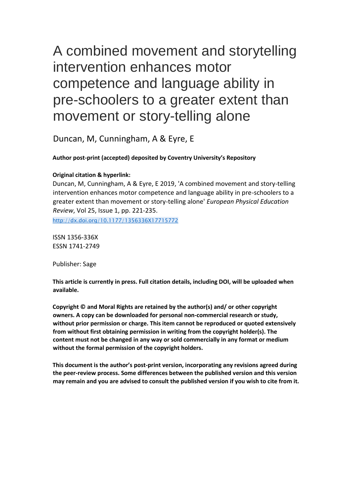# A combined movement and storytelling intervention enhances motor competence and language ability in pre-schoolers to a greater extent than movement or story-telling alone

Duncan, M, Cunningham, A & Eyre, E

## **Author post-print (accepted) deposited by Coventry University's Repository**

## **Original citation & hyperlink:**

Duncan, M, Cunningham, A & Eyre, E 2019, 'A combined movement and story-telling intervention enhances motor competence and language ability in pre-schoolers to a greater extent than movement or story-telling alone' *European Physical Education Review*, Vol 25, Issue 1, pp. 221-235. <http://dx.doi.org/10.1177/1356336X17715772>

ISSN 1356-336X ESSN 1741-2749

Publisher: Sage

**This article is currently in press. Full citation details, including DOI, will be uploaded when available.** 

**Copyright © and Moral Rights are retained by the author(s) and/ or other copyright owners. A copy can be downloaded for personal non-commercial research or study, without prior permission or charge. This item cannot be reproduced or quoted extensively from without first obtaining permission in writing from the copyright holder(s). The content must not be changed in any way or sold commercially in any format or medium without the formal permission of the copyright holders.** 

**This document is the author's post-print version, incorporating any revisions agreed during the peer-review process. Some differences between the published version and this version may remain and you are advised to consult the published version if you wish to cite from it.**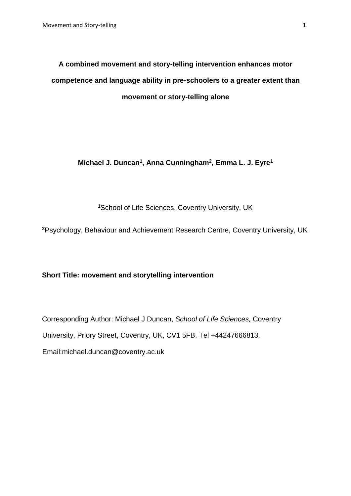**A combined movement and story-telling intervention enhances motor competence and language ability in pre-schoolers to a greater extent than movement or story-telling alone** 

**Michael J. Duncan<sup>1</sup> , Anna Cunningham<sup>2</sup> , Emma L. J. Eyre<sup>1</sup>**

**<sup>1</sup>**School of Life Sciences, Coventry University, UK

**<sup>2</sup>**Psychology, Behaviour and Achievement Research Centre, Coventry University, UK

**Short Title: movement and storytelling intervention** 

Corresponding Author: Michael J Duncan, *School of Life Sciences,* Coventry University, Priory Street, Coventry, UK, CV1 5FB. Tel +44247666813.

Email:michael.duncan@coventry.ac.uk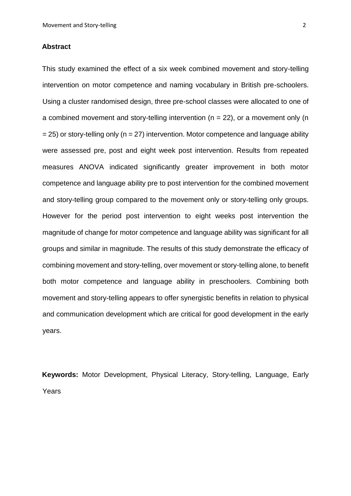#### **Abstract**

This study examined the effect of a six week combined movement and story-telling intervention on motor competence and naming vocabulary in British pre-schoolers. Using a cluster randomised design, three pre-school classes were allocated to one of a combined movement and story-telling intervention  $(n = 22)$ , or a movement only  $(n - 12)$  $= 25$ ) or story-telling only (n = 27) intervention. Motor competence and language ability were assessed pre, post and eight week post intervention. Results from repeated measures ANOVA indicated significantly greater improvement in both motor competence and language ability pre to post intervention for the combined movement and story-telling group compared to the movement only or story-telling only groups. However for the period post intervention to eight weeks post intervention the magnitude of change for motor competence and language ability was significant for all groups and similar in magnitude. The results of this study demonstrate the efficacy of combining movement and story-telling, over movement or story-telling alone, to benefit both motor competence and language ability in preschoolers. Combining both movement and story-telling appears to offer synergistic benefits in relation to physical and communication development which are critical for good development in the early years.

**Keywords:** Motor Development, Physical Literacy, Story-telling, Language, Early Years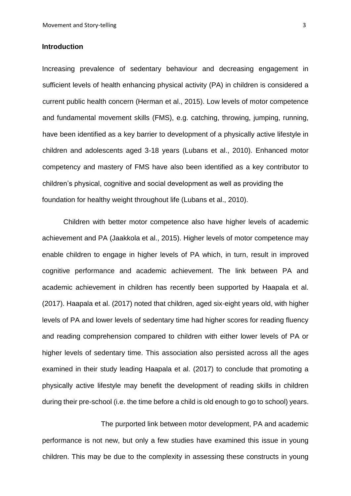#### **Introduction**

Increasing prevalence of sedentary behaviour and decreasing engagement in sufficient levels of health enhancing physical activity (PA) in children is considered a current public health concern (Herman et al., 2015). Low levels of motor competence and fundamental movement skills (FMS), e.g. catching, throwing, jumping, running, have been identified as a key barrier to development of a physically active lifestyle in children and adolescents aged 3-18 years (Lubans et al., 2010). Enhanced motor competency and mastery of FMS have also been identified as a key contributor to children's physical, cognitive and social development as well as providing the foundation for healthy weight throughout life (Lubans et al., 2010).

Children with better motor competence also have higher levels of academic achievement and PA (Jaakkola et al., 2015). Higher levels of motor competence may enable children to engage in higher levels of PA which, in turn, result in improved cognitive performance and academic achievement. The link between PA and academic achievement in children has recently been supported by Haapala et al. (2017). Haapala et al. (2017) noted that children, aged six-eight years old, with higher levels of PA and lower levels of sedentary time had higher scores for reading fluency and reading comprehension compared to children with either lower levels of PA or higher levels of sedentary time. This association also persisted across all the ages examined in their study leading Haapala et al. (2017) to conclude that promoting a physically active lifestyle may benefit the development of reading skills in children during their pre-school (i.e. the time before a child is old enough to go to school) years.

The purported link between motor development, PA and academic performance is not new, but only a few studies have examined this issue in young children. This may be due to the complexity in assessing these constructs in young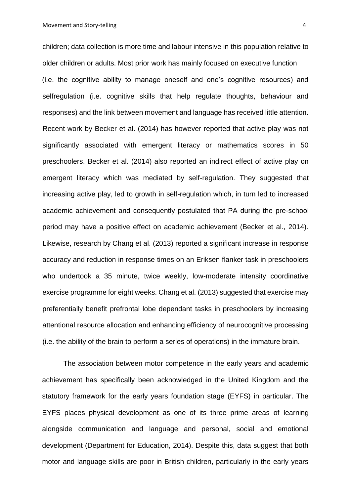Movement and Story-telling 4 and  $\frac{4}{3}$  and  $\frac{4}{3}$  and  $\frac{4}{3}$  and  $\frac{4}{3}$  and  $\frac{4}{3}$  and  $\frac{4}{3}$  and  $\frac{4}{3}$  and  $\frac{4}{3}$  and  $\frac{4}{3}$  and  $\frac{4}{3}$  and  $\frac{4}{3}$  and  $\frac{4}{3}$  and  $\frac{4}{3}$  and  $\frac{4}{3$ 

children; data collection is more time and labour intensive in this population relative to older children or adults. Most prior work has mainly focused on executive function (i.e. the cognitive ability to manage oneself and one's cognitive resources) and selfregulation (i.e. cognitive skills that help regulate thoughts, behaviour and responses) and the link between movement and language has received little attention. Recent work by Becker et al. (2014) has however reported that active play was not significantly associated with emergent literacy or mathematics scores in 50 preschoolers. Becker et al. (2014) also reported an indirect effect of active play on emergent literacy which was mediated by self-regulation. They suggested that increasing active play, led to growth in self-regulation which, in turn led to increased academic achievement and consequently postulated that PA during the pre-school period may have a positive effect on academic achievement (Becker et al., 2014). Likewise, research by Chang et al. (2013) reported a significant increase in response accuracy and reduction in response times on an Eriksen flanker task in preschoolers who undertook a 35 minute, twice weekly, low-moderate intensity coordinative exercise programme for eight weeks. Chang et al. (2013) suggested that exercise may preferentially benefit prefrontal lobe dependant tasks in preschoolers by increasing attentional resource allocation and enhancing efficiency of neurocognitive processing (i.e. the ability of the brain to perform a series of operations) in the immature brain.

The association between motor competence in the early years and academic achievement has specifically been acknowledged in the United Kingdom and the statutory framework for the early years foundation stage (EYFS) in particular. The EYFS places physical development as one of its three prime areas of learning alongside communication and language and personal, social and emotional development (Department for Education, 2014). Despite this, data suggest that both motor and language skills are poor in British children, particularly in the early years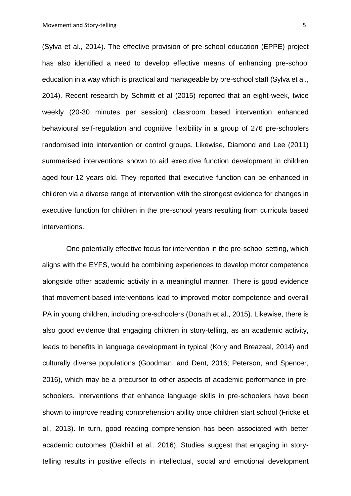(Sylva et al., 2014). The effective provision of pre-school education (EPPE) project has also identified a need to develop effective means of enhancing pre-school education in a way which is practical and manageable by pre-school staff (Sylva et al., 2014). Recent research by Schmitt et al (2015) reported that an eight-week, twice weekly (20-30 minutes per session) classroom based intervention enhanced behavioural self-regulation and cognitive flexibility in a group of 276 pre-schoolers randomised into intervention or control groups. Likewise, Diamond and Lee (2011) summarised interventions shown to aid executive function development in children aged four-12 years old. They reported that executive function can be enhanced in children via a diverse range of intervention with the strongest evidence for changes in executive function for children in the pre-school years resulting from curricula based interventions.

One potentially effective focus for intervention in the pre-school setting, which aligns with the EYFS, would be combining experiences to develop motor competence alongside other academic activity in a meaningful manner. There is good evidence that movement-based interventions lead to improved motor competence and overall PA in young children, including pre-schoolers (Donath et al., 2015). Likewise, there is also good evidence that engaging children in story-telling, as an academic activity, leads to benefits in language development in typical (Kory and Breazeal, 2014) and culturally diverse populations (Goodman, and Dent, 2016; Peterson, and Spencer, 2016), which may be a precursor to other aspects of academic performance in preschoolers. Interventions that enhance language skills in pre-schoolers have been shown to improve reading comprehension ability once children start school (Fricke et al., 2013). In turn, good reading comprehension has been associated with better academic outcomes (Oakhill et al., 2016). Studies suggest that engaging in storytelling results in positive effects in intellectual, social and emotional development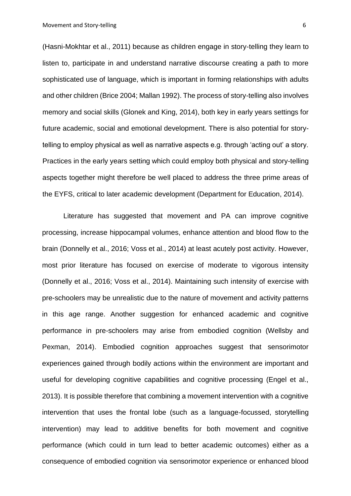(Hasni-Mokhtar et al., 2011) because as children engage in story-telling they learn to listen to, participate in and understand narrative discourse creating a path to more sophisticated use of language, which is important in forming relationships with adults and other children (Brice 2004; Mallan 1992). The process of story-telling also involves memory and social skills (Glonek and King, 2014), both key in early years settings for future academic, social and emotional development. There is also potential for storytelling to employ physical as well as narrative aspects e.g. through 'acting out' a story. Practices in the early years setting which could employ both physical and story-telling aspects together might therefore be well placed to address the three prime areas of the EYFS, critical to later academic development (Department for Education, 2014).

Literature has suggested that movement and PA can improve cognitive processing, increase hippocampal volumes, enhance attention and blood flow to the brain (Donnelly et al., 2016; Voss et al., 2014) at least acutely post activity. However, most prior literature has focused on exercise of moderate to vigorous intensity (Donnelly et al., 2016; Voss et al., 2014). Maintaining such intensity of exercise with pre-schoolers may be unrealistic due to the nature of movement and activity patterns in this age range. Another suggestion for enhanced academic and cognitive performance in pre-schoolers may arise from embodied cognition (Wellsby and Pexman, 2014). Embodied cognition approaches suggest that sensorimotor experiences gained through bodily actions within the environment are important and useful for developing cognitive capabilities and cognitive processing (Engel et al., 2013). It is possible therefore that combining a movement intervention with a cognitive intervention that uses the frontal lobe (such as a language-focussed, storytelling intervention) may lead to additive benefits for both movement and cognitive performance (which could in turn lead to better academic outcomes) either as a consequence of embodied cognition via sensorimotor experience or enhanced blood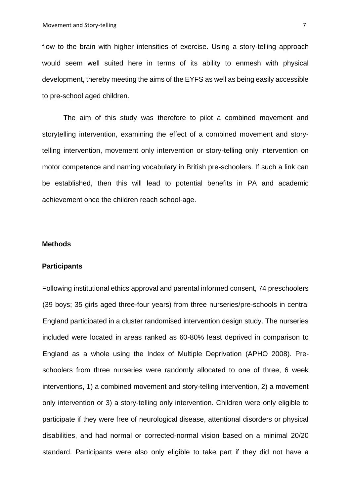flow to the brain with higher intensities of exercise. Using a story-telling approach would seem well suited here in terms of its ability to enmesh with physical development, thereby meeting the aims of the EYFS as well as being easily accessible to pre-school aged children.

The aim of this study was therefore to pilot a combined movement and storytelling intervention, examining the effect of a combined movement and storytelling intervention, movement only intervention or story-telling only intervention on motor competence and naming vocabulary in British pre-schoolers. If such a link can be established, then this will lead to potential benefits in PA and academic achievement once the children reach school-age.

## **Methods**

#### **Participants**

Following institutional ethics approval and parental informed consent, 74 preschoolers (39 boys; 35 girls aged three-four years) from three nurseries/pre-schools in central England participated in a cluster randomised intervention design study. The nurseries included were located in areas ranked as 60-80% least deprived in comparison to England as a whole using the Index of Multiple Deprivation (APHO 2008). Preschoolers from three nurseries were randomly allocated to one of three, 6 week interventions, 1) a combined movement and story-telling intervention, 2) a movement only intervention or 3) a story-telling only intervention. Children were only eligible to participate if they were free of neurological disease, attentional disorders or physical disabilities, and had normal or corrected-normal vision based on a minimal 20/20 standard. Participants were also only eligible to take part if they did not have a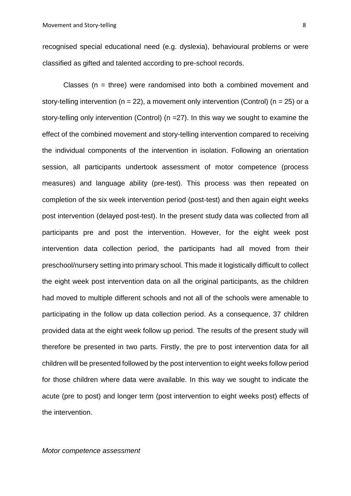recognised special educational need (e.g. dyslexia), behavioural problems or were classified as gifted and talented according to pre-school records.

Classes ( $n =$  three) were randomised into both a combined movement and story-telling intervention ( $n = 22$ ), a movement only intervention (Control) ( $n = 25$ ) or a story-telling only intervention (Control) (n =27). In this way we sought to examine the effect of the combined movement and story-telling intervention compared to receiving the individual components of the intervention in isolation. Following an orientation session, all participants undertook assessment of motor competence (process measures) and language ability (pre-test). This process was then repeated on completion of the six week intervention period (post-test) and then again eight weeks post intervention (delayed post-test). In the present study data was collected from all participants pre and post the intervention. However, for the eight week post intervention data collection period, the participants had all moved from their preschool/nursery setting into primary school. This made it logistically difficult to collect the eight week post intervention data on all the original participants, as the children had moved to multiple different schools and not all of the schools were amenable to participating in the follow up data collection period. As a consequence, 37 children provided data at the eight week follow up period. The results of the present study will therefore be presented in two parts. Firstly, the pre to post intervention data for all children will be presented followed by the post intervention to eight weeks follow period for those children where data were available. In this way we sought to indicate the acute (pre to post) and longer term (post intervention to eight weeks post) effects of the intervention.

*Motor competence assessment*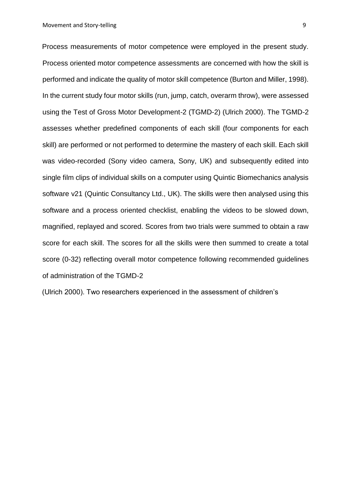Process measurements of motor competence were employed in the present study. Process oriented motor competence assessments are concerned with how the skill is performed and indicate the quality of motor skill competence (Burton and Miller, 1998). In the current study four motor skills (run, jump, catch, overarm throw), were assessed using the Test of Gross Motor Development-2 (TGMD-2) (Ulrich 2000). The TGMD-2 assesses whether predefined components of each skill (four components for each skill) are performed or not performed to determine the mastery of each skill. Each skill was video-recorded (Sony video camera, Sony, UK) and subsequently edited into single film clips of individual skills on a computer using Quintic Biomechanics analysis software v21 (Quintic Consultancy Ltd., UK). The skills were then analysed using this software and a process oriented checklist, enabling the videos to be slowed down, magnified, replayed and scored. Scores from two trials were summed to obtain a raw score for each skill. The scores for all the skills were then summed to create a total score (0-32) reflecting overall motor competence following recommended guidelines of administration of the TGMD-2

(Ulrich 2000). Two researchers experienced in the assessment of children's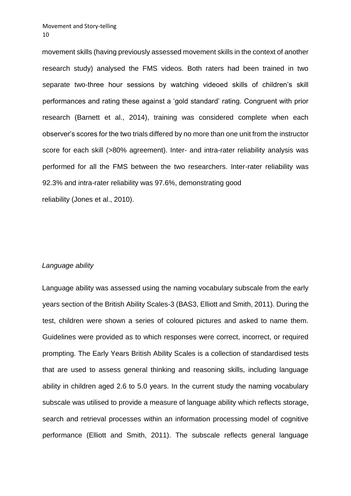movement skills (having previously assessed movement skills in the context of another research study) analysed the FMS videos. Both raters had been trained in two separate two-three hour sessions by watching videoed skills of children's skill performances and rating these against a 'gold standard' rating. Congruent with prior research (Barnett et al., 2014), training was considered complete when each observer's scores for the two trials differed by no more than one unit from the instructor score for each skill (>80% agreement). Inter- and intra-rater reliability analysis was performed for all the FMS between the two researchers. Inter-rater reliability was 92.3% and intra-rater reliability was 97.6%, demonstrating good reliability (Jones et al., 2010).

## *Language ability*

Language ability was assessed using the naming vocabulary subscale from the early years section of the British Ability Scales-3 (BAS3, Elliott and Smith, 2011). During the test, children were shown a series of coloured pictures and asked to name them. Guidelines were provided as to which responses were correct, incorrect, or required prompting. The Early Years British Ability Scales is a collection of standardised tests that are used to assess general thinking and reasoning skills, including language ability in children aged 2.6 to 5.0 years. In the current study the naming vocabulary subscale was utilised to provide a measure of language ability which reflects storage, search and retrieval processes within an information processing model of cognitive performance (Elliott and Smith, 2011). The subscale reflects general language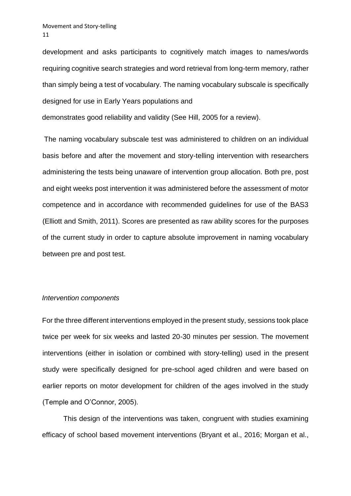development and asks participants to cognitively match images to names/words requiring cognitive search strategies and word retrieval from long-term memory, rather than simply being a test of vocabulary. The naming vocabulary subscale is specifically designed for use in Early Years populations and

demonstrates good reliability and validity (See Hill, 2005 for a review).

The naming vocabulary subscale test was administered to children on an individual basis before and after the movement and story-telling intervention with researchers administering the tests being unaware of intervention group allocation. Both pre, post and eight weeks post intervention it was administered before the assessment of motor competence and in accordance with recommended guidelines for use of the BAS3 (Elliott and Smith, 2011). Scores are presented as raw ability scores for the purposes of the current study in order to capture absolute improvement in naming vocabulary between pre and post test.

#### *Intervention components*

For the three different interventions employed in the present study, sessions took place twice per week for six weeks and lasted 20-30 minutes per session. The movement interventions (either in isolation or combined with story-telling) used in the present study were specifically designed for pre-school aged children and were based on earlier reports on motor development for children of the ages involved in the study (Temple and O'Connor, 2005).

This design of the interventions was taken, congruent with studies examining efficacy of school based movement interventions (Bryant et al., 2016; Morgan et al.,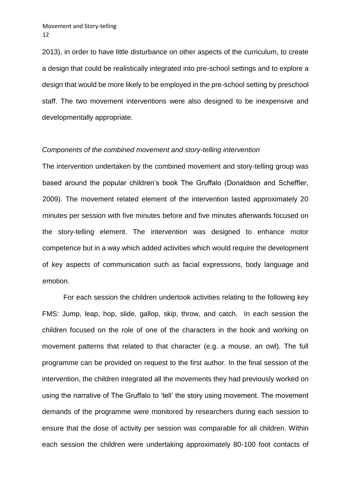2013), in order to have little disturbance on other aspects of the curriculum, to create a design that could be realistically integrated into pre-school settings and to explore a design that would be more likely to be employed in the pre-school setting by preschool staff. The two movement interventions were also designed to be inexpensive and developmentally appropriate.

## *Components of the combined movement and story-telling intervention*

The intervention undertaken by the combined movement and story-telling group was based around the popular children's book The Gruffalo (Donaldson and Scheffler, 2009). The movement related element of the intervention lasted approximately 20 minutes per session with five minutes before and five minutes afterwards focused on the story-telling element. The intervention was designed to enhance motor competence but in a way which added activities which would require the development of key aspects of communication such as facial expressions, body language and emotion.

For each session the children undertook activities relating to the following key FMS: Jump, leap, hop, slide, gallop, skip, throw, and catch. In each session the children focused on the role of one of the characters in the book and working on movement patterns that related to that character (e.g. a mouse, an owl). The full programme can be provided on request to the first author. In the final session of the intervention, the children integrated all the movements they had previously worked on using the narrative of The Gruffalo to 'tell' the story using movement. The movement demands of the programme were monitored by researchers during each session to ensure that the dose of activity per session was comparable for all children. Within each session the children were undertaking approximately 80-100 foot contacts of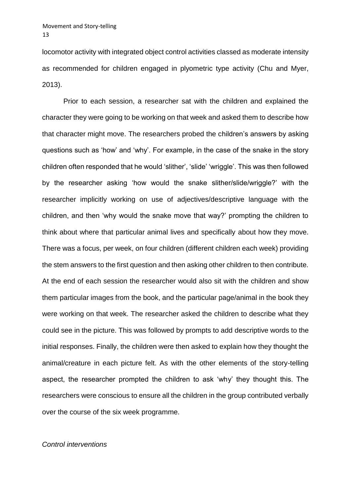locomotor activity with integrated object control activities classed as moderate intensity as recommended for children engaged in plyometric type activity (Chu and Myer, 2013).

Prior to each session, a researcher sat with the children and explained the character they were going to be working on that week and asked them to describe how that character might move. The researchers probed the children's answers by asking questions such as 'how' and 'why'. For example, in the case of the snake in the story children often responded that he would 'slither', 'slide' 'wriggle'. This was then followed by the researcher asking 'how would the snake slither/slide/wriggle?' with the researcher implicitly working on use of adjectives/descriptive language with the children, and then 'why would the snake move that way?' prompting the children to think about where that particular animal lives and specifically about how they move. There was a focus, per week, on four children (different children each week) providing the stem answers to the first question and then asking other children to then contribute. At the end of each session the researcher would also sit with the children and show them particular images from the book, and the particular page/animal in the book they were working on that week. The researcher asked the children to describe what they could see in the picture. This was followed by prompts to add descriptive words to the initial responses. Finally, the children were then asked to explain how they thought the animal/creature in each picture felt. As with the other elements of the story-telling aspect, the researcher prompted the children to ask 'why' they thought this. The researchers were conscious to ensure all the children in the group contributed verbally over the course of the six week programme.

#### *Control interventions*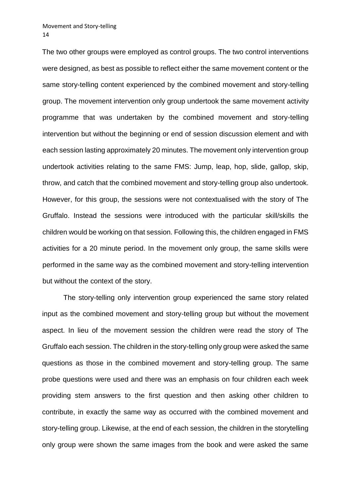The two other groups were employed as control groups. The two control interventions were designed, as best as possible to reflect either the same movement content or the same story-telling content experienced by the combined movement and story-telling group. The movement intervention only group undertook the same movement activity programme that was undertaken by the combined movement and story-telling intervention but without the beginning or end of session discussion element and with each session lasting approximately 20 minutes. The movement only intervention group undertook activities relating to the same FMS: Jump, leap, hop, slide, gallop, skip, throw, and catch that the combined movement and story-telling group also undertook. However, for this group, the sessions were not contextualised with the story of The Gruffalo. Instead the sessions were introduced with the particular skill/skills the children would be working on that session. Following this, the children engaged in FMS activities for a 20 minute period. In the movement only group, the same skills were performed in the same way as the combined movement and story-telling intervention but without the context of the story.

The story-telling only intervention group experienced the same story related input as the combined movement and story-telling group but without the movement aspect. In lieu of the movement session the children were read the story of The Gruffalo each session. The children in the story-telling only group were asked the same questions as those in the combined movement and story-telling group. The same probe questions were used and there was an emphasis on four children each week providing stem answers to the first question and then asking other children to contribute, in exactly the same way as occurred with the combined movement and story-telling group. Likewise, at the end of each session, the children in the storytelling only group were shown the same images from the book and were asked the same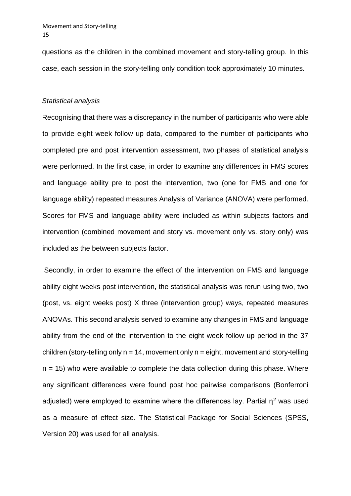questions as the children in the combined movement and story-telling group. In this case, each session in the story-telling only condition took approximately 10 minutes.

## *Statistical analysis*

Recognising that there was a discrepancy in the number of participants who were able to provide eight week follow up data, compared to the number of participants who completed pre and post intervention assessment, two phases of statistical analysis were performed. In the first case, in order to examine any differences in FMS scores and language ability pre to post the intervention, two (one for FMS and one for language ability) repeated measures Analysis of Variance (ANOVA) were performed. Scores for FMS and language ability were included as within subjects factors and intervention (combined movement and story vs. movement only vs. story only) was included as the between subjects factor.

Secondly, in order to examine the effect of the intervention on FMS and language ability eight weeks post intervention, the statistical analysis was rerun using two, two (post, vs. eight weeks post) X three (intervention group) ways, repeated measures ANOVAs. This second analysis served to examine any changes in FMS and language ability from the end of the intervention to the eight week follow up period in the 37 children (story-telling only  $n = 14$ , movement only  $n =$  eight, movement and story-telling  $n = 15$ ) who were available to complete the data collection during this phase. Where any significant differences were found post hoc pairwise comparisons (Bonferroni adjusted) were employed to examine where the differences lay. Partial  $\eta^2$  was used as a measure of effect size. The Statistical Package for Social Sciences (SPSS, Version 20) was used for all analysis.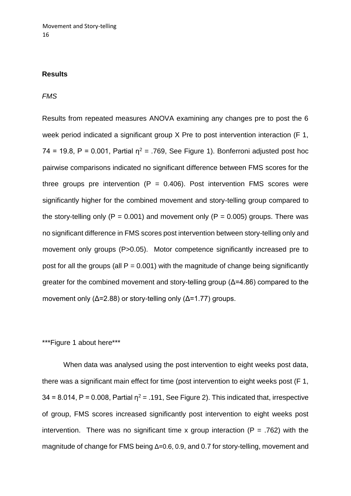## **Results**

## *FMS*

Results from repeated measures ANOVA examining any changes pre to post the 6 week period indicated a significant group X Pre to post intervention interaction (F 1, 74 = 19.8, P = 0.001, Partial  $\eta^2$  = .769, See Figure 1). Bonferroni adjusted post hoc pairwise comparisons indicated no significant difference between FMS scores for the three groups pre intervention  $(P = 0.406)$ . Post intervention FMS scores were significantly higher for the combined movement and story-telling group compared to the story-telling only ( $P = 0.001$ ) and movement only ( $P = 0.005$ ) groups. There was no significant difference in FMS scores post intervention between story-telling only and movement only groups (P>0.05). Motor competence significantly increased pre to post for all the groups (all  $P = 0.001$ ) with the magnitude of change being significantly greater for the combined movement and story-telling group (Δ=4.86) compared to the movement only ( $\Delta$ =2.88) or story-telling only ( $\Delta$ =1.77) groups.

# \*\*\*Figure 1 about here\*\*\*

When data was analysed using the post intervention to eight weeks post data, there was a significant main effect for time (post intervention to eight weeks post (F 1,  $34 = 8.014$ , P = 0.008, Partial  $n^2 = .191$ , See Figure 2). This indicated that, irrespective of group, FMS scores increased significantly post intervention to eight weeks post intervention. There was no significant time x group interaction ( $P = .762$ ) with the magnitude of change for FMS being Δ=0.6, 0.9, and 0.7 for story-telling, movement and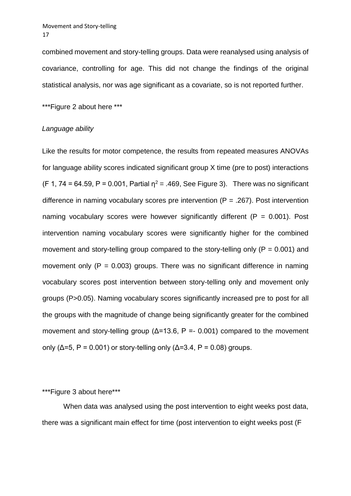combined movement and story-telling groups. Data were reanalysed using analysis of covariance, controlling for age. This did not change the findings of the original statistical analysis, nor was age significant as a covariate, so is not reported further.

\*\*\*Figure 2 about here \*\*\*

## *Language ability*

Like the results for motor competence, the results from repeated measures ANOVAs for language ability scores indicated significant group X time (pre to post) interactions (F 1, 74 = 64.59, P = 0.001, Partial  $n^2$  = .469, See Figure 3). There was no significant difference in naming vocabulary scores pre intervention  $(P = .267)$ . Post intervention naming vocabulary scores were however significantly different ( $P = 0.001$ ). Post intervention naming vocabulary scores were significantly higher for the combined movement and story-telling group compared to the story-telling only ( $P = 0.001$ ) and movement only ( $P = 0.003$ ) groups. There was no significant difference in naming vocabulary scores post intervention between story-telling only and movement only groups (P>0.05). Naming vocabulary scores significantly increased pre to post for all the groups with the magnitude of change being significantly greater for the combined movement and story-telling group ( $\Delta$ =13.6, P = 0.001) compared to the movement only ( $\Delta$ =5, P = 0.001) or story-telling only ( $\Delta$ =3.4, P = 0.08) groups.

## \*\*\*Figure 3 about here\*\*\*

When data was analysed using the post intervention to eight weeks post data, there was a significant main effect for time (post intervention to eight weeks post (F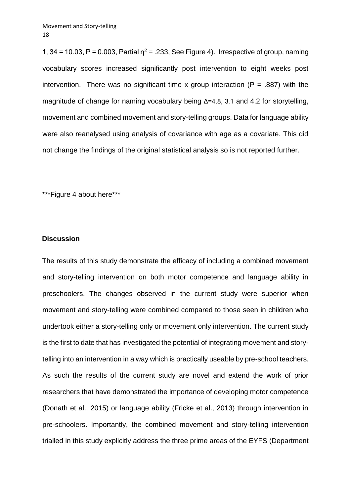1, 34 = 10.03, P = 0.003, Partial  $n^2$  = .233, See Figure 4). Irrespective of group, naming vocabulary scores increased significantly post intervention to eight weeks post intervention. There was no significant time x group interaction ( $P = .887$ ) with the magnitude of change for naming vocabulary being Δ=4.8, 3.1 and 4.2 for storytelling, movement and combined movement and story-telling groups. Data for language ability were also reanalysed using analysis of covariance with age as a covariate. This did not change the findings of the original statistical analysis so is not reported further.

\*\*\*Figure 4 about here\*\*\*

## **Discussion**

The results of this study demonstrate the efficacy of including a combined movement and story-telling intervention on both motor competence and language ability in preschoolers. The changes observed in the current study were superior when movement and story-telling were combined compared to those seen in children who undertook either a story-telling only or movement only intervention. The current study is the first to date that has investigated the potential of integrating movement and storytelling into an intervention in a way which is practically useable by pre-school teachers. As such the results of the current study are novel and extend the work of prior researchers that have demonstrated the importance of developing motor competence (Donath et al., 2015) or language ability (Fricke et al., 2013) through intervention in pre-schoolers. Importantly, the combined movement and story-telling intervention trialled in this study explicitly address the three prime areas of the EYFS (Department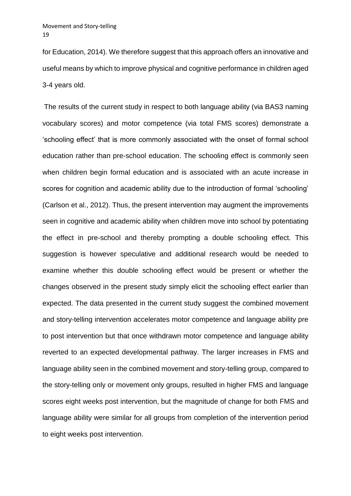for Education, 2014). We therefore suggest that this approach offers an innovative and useful means by which to improve physical and cognitive performance in children aged 3-4 years old.

The results of the current study in respect to both language ability (via BAS3 naming vocabulary scores) and motor competence (via total FMS scores) demonstrate a 'schooling effect' that is more commonly associated with the onset of formal school education rather than pre-school education. The schooling effect is commonly seen when children begin formal education and is associated with an acute increase in scores for cognition and academic ability due to the introduction of formal 'schooling' (Carlson et al., 2012). Thus, the present intervention may augment the improvements seen in cognitive and academic ability when children move into school by potentiating the effect in pre-school and thereby prompting a double schooling effect. This suggestion is however speculative and additional research would be needed to examine whether this double schooling effect would be present or whether the changes observed in the present study simply elicit the schooling effect earlier than expected. The data presented in the current study suggest the combined movement and story-telling intervention accelerates motor competence and language ability pre to post intervention but that once withdrawn motor competence and language ability reverted to an expected developmental pathway. The larger increases in FMS and language ability seen in the combined movement and story-telling group, compared to the story-telling only or movement only groups, resulted in higher FMS and language scores eight weeks post intervention, but the magnitude of change for both FMS and language ability were similar for all groups from completion of the intervention period to eight weeks post intervention.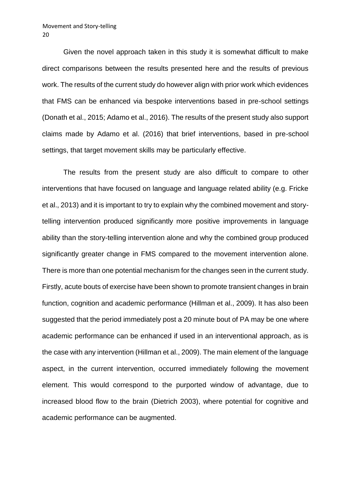#### Movement and Story-telling 20

Given the novel approach taken in this study it is somewhat difficult to make direct comparisons between the results presented here and the results of previous work. The results of the current study do however align with prior work which evidences that FMS can be enhanced via bespoke interventions based in pre-school settings (Donath et al., 2015; Adamo et al., 2016). The results of the present study also support claims made by Adamo et al. (2016) that brief interventions, based in pre-school settings, that target movement skills may be particularly effective.

The results from the present study are also difficult to compare to other interventions that have focused on language and language related ability (e.g. Fricke et al., 2013) and it is important to try to explain why the combined movement and storytelling intervention produced significantly more positive improvements in language ability than the story-telling intervention alone and why the combined group produced significantly greater change in FMS compared to the movement intervention alone. There is more than one potential mechanism for the changes seen in the current study. Firstly, acute bouts of exercise have been shown to promote transient changes in brain function, cognition and academic performance (Hillman et al., 2009). It has also been suggested that the period immediately post a 20 minute bout of PA may be one where academic performance can be enhanced if used in an interventional approach, as is the case with any intervention (Hillman et al., 2009). The main element of the language aspect, in the current intervention, occurred immediately following the movement element. This would correspond to the purported window of advantage, due to increased blood flow to the brain (Dietrich 2003), where potential for cognitive and academic performance can be augmented.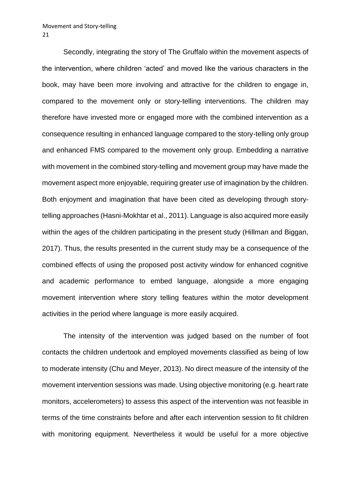Secondly, integrating the story of The Gruffalo within the movement aspects of the intervention, where children 'acted' and moved like the various characters in the book, may have been more involving and attractive for the children to engage in, compared to the movement only or story-telling interventions. The children may therefore have invested more or engaged more with the combined intervention as a consequence resulting in enhanced language compared to the story-telling only group and enhanced FMS compared to the movement only group. Embedding a narrative with movement in the combined story-telling and movement group may have made the movement aspect more enjoyable, requiring greater use of imagination by the children. Both enjoyment and imagination that have been cited as developing through storytelling approaches (Hasni-Mokhtar et al., 2011). Language is also acquired more easily within the ages of the children participating in the present study (Hillman and Biggan, 2017). Thus, the results presented in the current study may be a consequence of the combined effects of using the proposed post activity window for enhanced cognitive and academic performance to embed language, alongside a more engaging movement intervention where story telling features within the motor development activities in the period where language is more easily acquired.

The intensity of the intervention was judged based on the number of foot contacts the children undertook and employed movements classified as being of low to moderate intensity (Chu and Meyer, 2013). No direct measure of the intensity of the movement intervention sessions was made. Using objective monitoring (e.g. heart rate monitors, accelerometers) to assess this aspect of the intervention was not feasible in terms of the time constraints before and after each intervention session to fit children with monitoring equipment. Nevertheless it would be useful for a more objective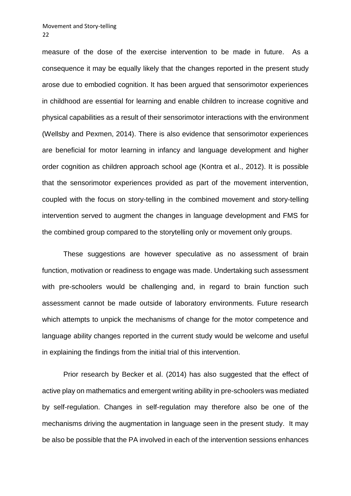measure of the dose of the exercise intervention to be made in future. As a consequence it may be equally likely that the changes reported in the present study arose due to embodied cognition. It has been argued that sensorimotor experiences in childhood are essential for learning and enable children to increase cognitive and physical capabilities as a result of their sensorimotor interactions with the environment (Wellsby and Pexmen, 2014). There is also evidence that sensorimotor experiences are beneficial for motor learning in infancy and language development and higher order cognition as children approach school age (Kontra et al., 2012). It is possible that the sensorimotor experiences provided as part of the movement intervention, coupled with the focus on story-telling in the combined movement and story-telling intervention served to augment the changes in language development and FMS for the combined group compared to the storytelling only or movement only groups.

These suggestions are however speculative as no assessment of brain function, motivation or readiness to engage was made. Undertaking such assessment with pre-schoolers would be challenging and, in regard to brain function such assessment cannot be made outside of laboratory environments. Future research which attempts to unpick the mechanisms of change for the motor competence and language ability changes reported in the current study would be welcome and useful in explaining the findings from the initial trial of this intervention.

Prior research by Becker et al. (2014) has also suggested that the effect of active play on mathematics and emergent writing ability in pre-schoolers was mediated by self-regulation. Changes in self-regulation may therefore also be one of the mechanisms driving the augmentation in language seen in the present study. It may be also be possible that the PA involved in each of the intervention sessions enhances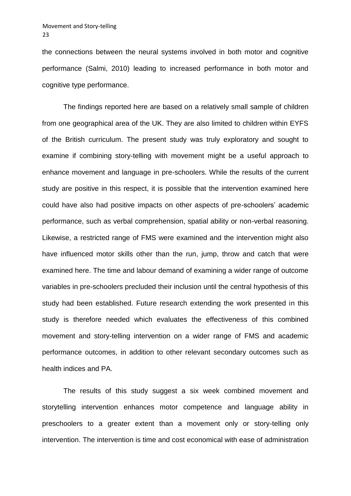the connections between the neural systems involved in both motor and cognitive performance (Salmi, 2010) leading to increased performance in both motor and cognitive type performance.

The findings reported here are based on a relatively small sample of children from one geographical area of the UK. They are also limited to children within EYFS of the British curriculum. The present study was truly exploratory and sought to examine if combining story-telling with movement might be a useful approach to enhance movement and language in pre-schoolers. While the results of the current study are positive in this respect, it is possible that the intervention examined here could have also had positive impacts on other aspects of pre-schoolers' academic performance, such as verbal comprehension, spatial ability or non-verbal reasoning. Likewise, a restricted range of FMS were examined and the intervention might also have influenced motor skills other than the run, jump, throw and catch that were examined here. The time and labour demand of examining a wider range of outcome variables in pre-schoolers precluded their inclusion until the central hypothesis of this study had been established. Future research extending the work presented in this study is therefore needed which evaluates the effectiveness of this combined movement and story-telling intervention on a wider range of FMS and academic performance outcomes, in addition to other relevant secondary outcomes such as health indices and PA.

The results of this study suggest a six week combined movement and storytelling intervention enhances motor competence and language ability in preschoolers to a greater extent than a movement only or story-telling only intervention. The intervention is time and cost economical with ease of administration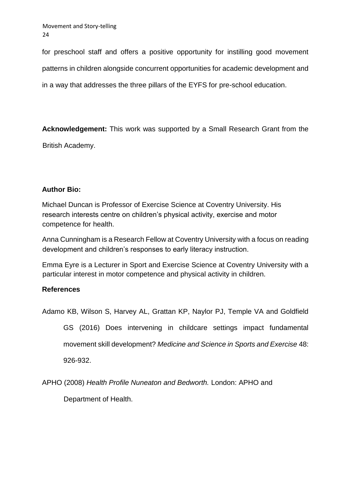for preschool staff and offers a positive opportunity for instilling good movement patterns in children alongside concurrent opportunities for academic development and in a way that addresses the three pillars of the EYFS for pre-school education.

**Acknowledgement:** This work was supported by a Small Research Grant from the

British Academy.

# **Author Bio:**

Michael Duncan is Professor of Exercise Science at Coventry University. His research interests centre on children's physical activity, exercise and motor competence for health.

Anna Cunningham is a Research Fellow at Coventry University with a focus on reading development and children's responses to early literacy instruction.

Emma Eyre is a Lecturer in Sport and Exercise Science at Coventry University with a particular interest in motor competence and physical activity in children.

# **References**

Adamo KB, Wilson S, Harvey AL, Grattan KP, Naylor PJ, Temple VA and Goldfield

GS (2016) Does intervening in childcare settings impact fundamental movement skill development? *Medicine and Science in Sports and Exercise* 48: 926-932.

APHO (2008) *Health Profile Nuneaton and Bedworth.* London: APHO and

Department of Health.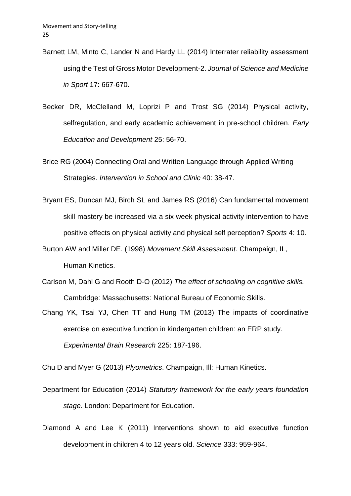- Barnett LM, Minto C, Lander N and Hardy LL (2014) Interrater reliability assessment using the Test of Gross Motor Development-2. *Journal of Science and Medicine in Sport* 17: 667-670.
- Becker DR, McClelland M, Loprizi P and Trost SG (2014) Physical activity, selfregulation, and early academic achievement in pre-school children. *Early Education and Development* 25: 56-70.
- Brice RG (2004) Connecting Oral and Written Language through Applied Writing Strategies. *Intervention in School and Clinic* 40: 38-47.
- Bryant ES, Duncan MJ, Birch SL and James RS (2016) Can fundamental movement skill mastery be increased via a six week physical activity intervention to have positive effects on physical activity and physical self perception? *Sports* 4: 10.
- Burton AW and Miller DE. (1998) *Movement Skill Assessment.* Champaign, IL, Human Kinetics.
- Carlson M, Dahl G and Rooth D-O (2012) *The effect of schooling on cognitive skills.*  Cambridge: Massachusetts: National Bureau of Economic Skills.
- Chang YK, Tsai YJ, Chen TT and Hung TM (2013) The impacts of coordinative exercise on executive function in kindergarten children: an ERP study. *Experimental Brain Research* 225: 187-196.

Chu D and Myer G (2013) *Plyometrics*. Champaign, Ill: Human Kinetics.

- Department for Education (2014) *Statutory framework for the early years foundation stage*. London: Department for Education.
- Diamond A and Lee K (2011) Interventions shown to aid executive function development in children 4 to 12 years old. *Science* 333: 959-964.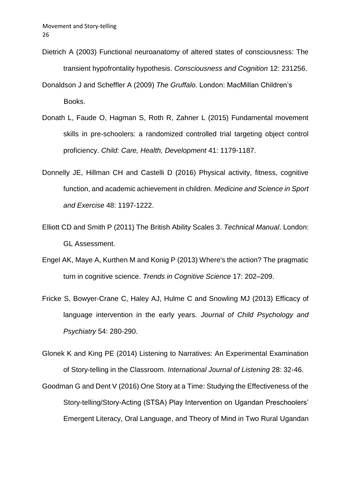- Dietrich A (2003) Functional neuroanatomy of altered states of consciousness: The transient hypofrontality hypothesis. *Consciousness and Cognition* 12: 231256.
- Donaldson J and Scheffler A (2009) *The Gruffalo*. London: MacMillan Children's Books.
- Donath L, Faude O, Hagman S, Roth R, Zahner L (2015) Fundamental movement skills in pre-schoolers: a randomized controlled trial targeting object control proficiency. *Child: Care, Health, Development* 41: 1179-1187.
- Donnelly JE, Hillman CH and Castelli D (2016) Physical activity, fitness, cognitive function, and academic achievement in children. *Medicine and Science in Sport and Exercise* 48: 1197-1222.
- Elliott CD and Smith P (2011) The British Ability Scales 3. *Technical Manual*. London: GL Assessment.
- Engel AK, Maye A, Kurthen M and Konig P (2013) Where's the action? The pragmatic turn in cognitive science. *Trends in Cognitive Science* 17: 202–209.
- Fricke S, Bowyer-Crane C, Haley AJ, Hulme C and Snowling MJ (2013) Efficacy of language intervention in the early years. *Journal of Child Psychology and Psychiatry* 54: 280-290.

Glonek K and King PE (2014) Listening to Narratives: An Experimental Examination of Story-telling in the Classroom. *International Journal of Listening* 28: 32-46.

Goodman G and Dent V (2016) One Story at a Time: Studying the Effectiveness of the Story-telling/Story-Acting (STSA) Play Intervention on Ugandan Preschoolers' Emergent Literacy, Oral Language, and Theory of Mind in Two Rural Ugandan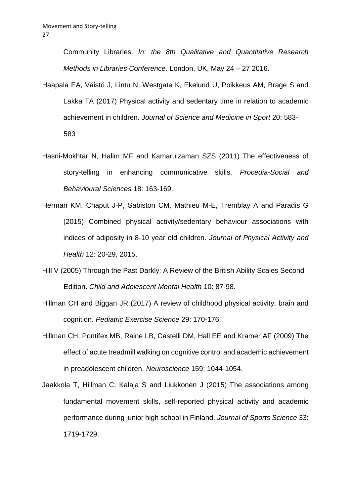Community Libraries. *In: the 8th Qualitative and Quantitative Research Methods in Libraries Conference*. London, UK, May 24 – 27 2016.

- Haapala EA, Väistö J, Lintu N, Westgate K, Ekelund U, Poikkeus AM, Brage S and Lakka TA (2017) Physical activity and sedentary time in relation to academic achievement in children. *Journal of Science and Medicine in Sport* 20: 583- 583
- Hasni-Mokhtar N, Halim MF and Kamarulzaman SZS (2011) The effectiveness of story-telling in enhancing communicative skills. *Procedia-Social and Behavioural Sciences* 18: 163-169.
- Herman KM, Chaput J-P, Sabiston CM, Mathieu M-E, Tremblay A and Paradis G (2015) Combined physical activity/sedentary behaviour associations with indices of adiposity in 8-10 year old children. *Journal of Physical Activity and Health* 12: 20-29, 2015.
- Hill V (2005) Through the Past Darkly: A Review of the British Ability Scales Second Edition. *Child and Adolescent Mental Health* 10: 87-98.
- Hillman CH and Biggan JR (2017) A review of childhood physical activity, brain and cognition. *Pediatric Exercise Science* 29: 170-176.
- Hillman CH, Pontifex MB, Raine LB, Castelli DM, Hall EE and Kramer AF (2009) The effect of acute treadmill walking on cognitive control and academic achievement in preadolescent children. *Neuroscience* 159: 1044-1054.
- Jaakkola T, Hillman C, Kalaja S and [Liukkonen](https://www.ncbi.nlm.nih.gov/pubmed/?term=Liukkonen%20J%5BAuthor%5D&cauthor=true&cauthor_uid=25649279) [J](https://www.ncbi.nlm.nih.gov/pubmed/?term=Liukkonen%20J%5BAuthor%5D&cauthor=true&cauthor_uid=25649279) (2015) The associations among fundamental movement skills, self-reported physical activity and academic performance during junior high school in Finland. *Journal of Sports Science* 33: 1719-1729.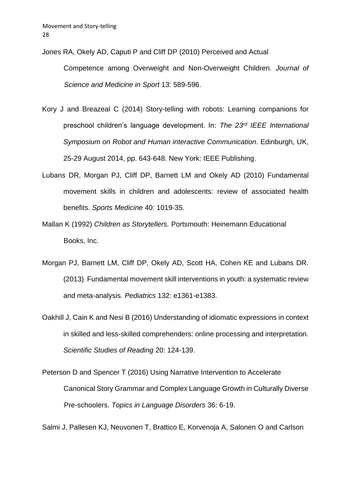Jones RA, Okely AD, Caputi P and Cliff DP (2010) Perceived and Actual

Competence among Overweight and Non-Overweight Children*. Journal of Science and Medicine in Sport* 13: 589-596.

- Kory J and Breazeal C (2014) Story-telling with robots: Learning companions for preschool children's language development. In: *The 23rd IEEE International Symposium on Robot and Human interactive Communication*. Edinburgh, UK, 25-29 August 2014, pp. 643-648. New York: IEEE Publishing.
- [Lubans](http://www.ncbi.nlm.nih.gov/pubmed/?term=Lubans%20DR%5BAuthor%5D&cauthor=true&cauthor_uid=21058749) [DR,](http://www.ncbi.nlm.nih.gov/pubmed/?term=Lubans%20DR%5BAuthor%5D&cauthor=true&cauthor_uid=21058749) [Morgan](http://www.ncbi.nlm.nih.gov/pubmed/?term=Morgan%20PJ%5BAuthor%5D&cauthor=true&cauthor_uid=21058749) [PJ,](http://www.ncbi.nlm.nih.gov/pubmed/?term=Morgan%20PJ%5BAuthor%5D&cauthor=true&cauthor_uid=21058749) [Cliff](http://www.ncbi.nlm.nih.gov/pubmed/?term=Cliff%20DP%5BAuthor%5D&cauthor=true&cauthor_uid=21058749) [DP,](http://www.ncbi.nlm.nih.gov/pubmed/?term=Cliff%20DP%5BAuthor%5D&cauthor=true&cauthor_uid=21058749) [Barnett](http://www.ncbi.nlm.nih.gov/pubmed/?term=Barnett%20LM%5BAuthor%5D&cauthor=true&cauthor_uid=21058749) [LM](http://www.ncbi.nlm.nih.gov/pubmed/?term=Barnett%20LM%5BAuthor%5D&cauthor=true&cauthor_uid=21058749) [a](http://www.ncbi.nlm.nih.gov/pubmed/?term=Barnett%20LM%5BAuthor%5D&cauthor=true&cauthor_uid=21058749)n[d](http://www.ncbi.nlm.nih.gov/pubmed/?term=Okely%20AD%5BAuthor%5D&cauthor=true&cauthor_uid=21058749) [Okely](http://www.ncbi.nlm.nih.gov/pubmed/?term=Okely%20AD%5BAuthor%5D&cauthor=true&cauthor_uid=21058749) [AD](http://www.ncbi.nlm.nih.gov/pubmed/?term=Okely%20AD%5BAuthor%5D&cauthor=true&cauthor_uid=21058749) [\(](http://www.ncbi.nlm.nih.gov/pubmed/?term=Okely%20AD%5BAuthor%5D&cauthor=true&cauthor_uid=21058749)2010) Fundamental movement skills in children and adolescents: review of associated health benefits[.](http://www.ncbi.nlm.nih.gov/pubmed/21058749) *[Sports Medic](http://www.ncbi.nlm.nih.gov/pubmed/21058749)ine* 40: 1019-35.
- Mallan K (1992) *Children as Storytellers.* Portsmouth: Heinemann Educational Books, Inc.
- Morgan PJ, Barnett LM, Cliff DP, Okely AD, Scott HA, Cohen KE and Lubans DR. (2013) Fundamental movement skill interventions in youth: a systematic review and meta-analysis. *Pediatrics* 132: e1361-e1383.
- Oakhill J, Cain K and Nesi B (2016) Understanding of idiomatic expressions in context in skilled and less-skilled comprehenders: online processing and interpretation. *Scientific Studies of Reading* 20: 124-139.
- Peterson D and Spencer T (2016) Using Narrative Intervention to Accelerate Canonical Story Grammar and Complex Language Growth in Culturally Diverse Pre-schoolers. *Topics in Language Disorders* 36: 6-19.

Salmi J, Pallesen KJ, Neuvonen T, Brattico E, Korvenoja A, Salonen O and Carlson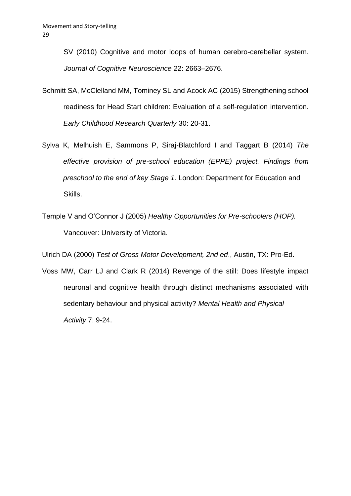SV (2010) Cognitive and motor loops of human cerebro-cerebellar system. *Journal of Cognitive Neuroscience* 22: 2663–2676.

- Schmitt SA, McClelland MM, Tominey SL and Acock AC (2015) Strengthening school readiness for Head Start children: Evaluation of a self-regulation intervention. *Early Childhood Research Quarterly* 30: 20-31.
- Sylva K, Melhuish E, Sammons P, Siraj-Blatchford I and Taggart B (2014) *The effective provision of pre-school education (EPPE) project. Findings from preschool to the end of key Stage 1*. London: Department for Education and Skills.
- Temple V and O'Connor J (2005) *Healthy Opportunities for Pre-schoolers (HOP).* Vancouver: University of Victoria.

Ulrich DA (2000) *Test of Gross Motor Development, 2nd ed*., Austin, TX: Pro-Ed.

Voss MW, Carr LJ and Clark R (2014) Revenge of the still: Does lifestyle impact neuronal and cognitive health through distinct mechanisms associated with sedentary behaviour and physical activity? *Mental Health and Physical Activity* 7: 9-24.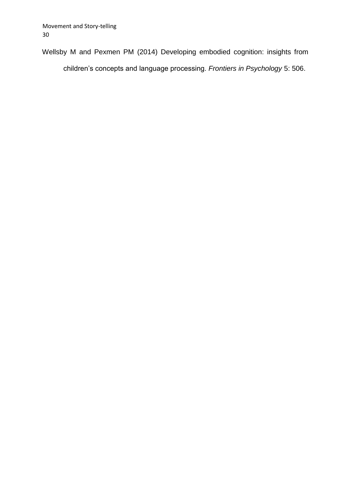Wellsby M and Pexmen PM (2014) Developing embodied cognition: insights from children's concepts and language processing. *Frontiers in Psychology* 5: 506.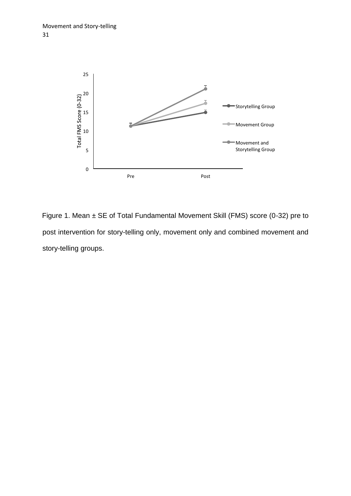

Figure 1. Mean ± SE of Total Fundamental Movement Skill (FMS) score (0-32) pre to post intervention for story-telling only, movement only and combined movement and story-telling groups.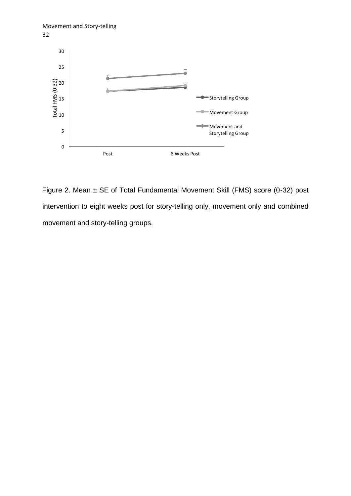



Figure 2. Mean ± SE of Total Fundamental Movement Skill (FMS) score (0-32) post intervention to eight weeks post for story-telling only, movement only and combined movement and story-telling groups.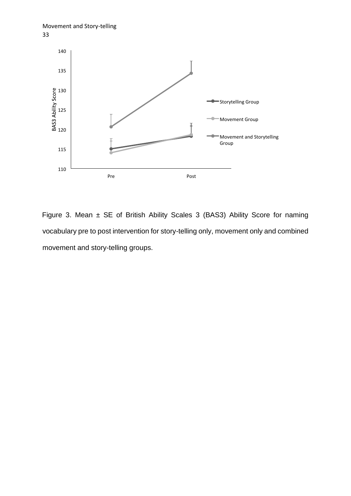



Figure 3. Mean  $\pm$  SE of British Ability Scales 3 (BAS3) Ability Score for naming vocabulary pre to post intervention for story-telling only, movement only and combined movement and story-telling groups.